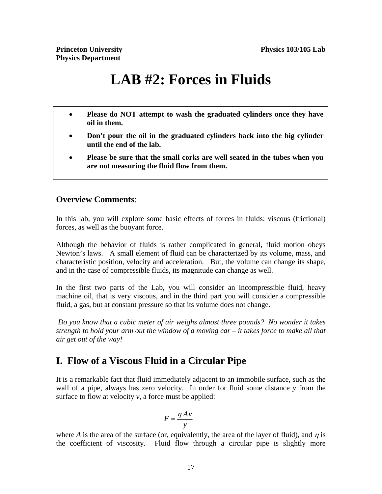# **LAB #2: Forces in Fluids**

- **Please do NOT attempt to wash the graduated cylinders once they have oil in them.**
- **Don't pour the oil in the graduated cylinders back into the big cylinder until the end of the lab.**
- **Please be sure that the small corks are well seated in the tubes when you are not measuring the fluid flow from them.**

#### **Overview Comments**:

In this lab, you will explore some basic effects of forces in fluids: viscous (frictional) forces, as well as the buoyant force.

Although the behavior of fluids is rather complicated in general, fluid motion obeys Newton's laws. A small element of fluid can be characterized by its volume, mass, and characteristic position, velocity and acceleration. But, the volume can change its shape, and in the case of compressible fluids, its magnitude can change as well.

In the first two parts of the Lab, you will consider an incompressible fluid, heavy machine oil, that is very viscous, and in the third part you will consider a compressible fluid, a gas, but at constant pressure so that its volume does not change.

 *Do you know that a cubic meter of air weighs almost three pounds? No wonder it takes strength to hold your arm out the window of a moving car – it takes force to make all that air get out of the way!* 

## **I. Flow of a Viscous Fluid in a Circular Pipe**

It is a remarkable fact that fluid immediately adjacent to an immobile surface, such as the wall of a pipe, always has zero velocity. In order for fluid some distance *y* from the surface to flow at velocity *v*, a force must be applied:

$$
F = \frac{\eta A v}{y}
$$

where *A* is the area of the surface (or, equivalently, the area of the layer of fluid), and  $\eta$  is the coefficient of viscosity. Fluid flow through a circular pipe is slightly more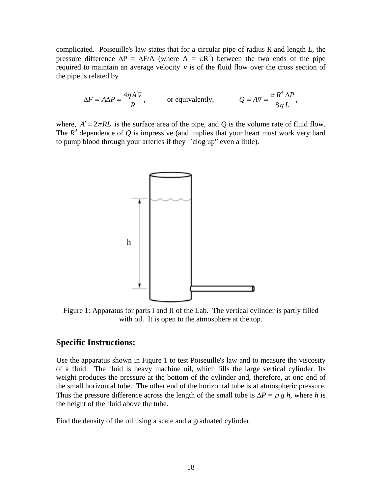complicated. Poiseuille's law states that for a circular pipe of radius *R* and length *L*, the pressure difference  $\Delta P = \Delta F/A$  (where  $A = \pi R^2$ ) between the two ends of the pipe required to maintain an average velocity  $\overline{v}$  is of the fluid flow over the cross section of the pipe is related by

$$
\Delta F = A \Delta P = \frac{4 \eta A' \overline{v}}{R}, \qquad \text{or equivalently,} \qquad Q = A \overline{v} = \frac{\pi R^4 \Delta P}{8 \eta L},
$$

where,  $A' = 2\pi R L$  is the surface area of the pipe, and *Q* is the volume rate of fluid flow. The  $R<sup>4</sup>$  dependence of Q is impressive (and implies that your heart must work very hard to pump blood through your arteries if they ``clog up" even a little).



Figure 1: Apparatus for parts I and II of the Lab. The vertical cylinder is partly filled with oil. It is open to the atmosphere at the top.

#### **Specific Instructions:**

Use the apparatus shown in Figure 1 to test Poiseuille's law and to measure the viscosity of a fluid. The fluid is heavy machine oil, which fills the large vertical cylinder. Its weight produces the pressure at the bottom of the cylinder and, therefore, at one end of the small horizontal tube. The other end of the horizontal tube is at atmospheric pressure. Thus the pressure difference across the length of the small tube is  $\Delta P = \rho g h$ , where *h* is the height of the fluid above the tube.

Find the density of the oil using a scale and a graduated cylinder.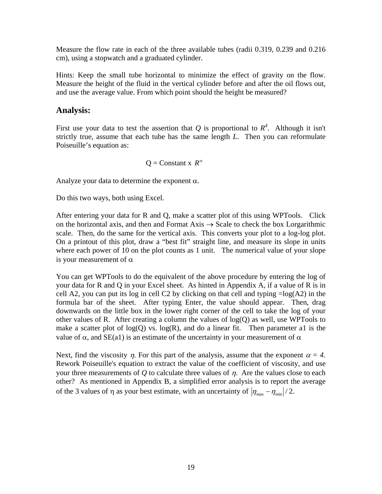Measure the flow rate in each of the three available tubes (radii 0.319, 0.239 and 0.216 cm), using a stopwatch and a graduated cylinder.

Hints: Keep the small tube horizontal to minimize the effect of gravity on the flow. Measure the height of the fluid in the vertical cylinder before and after the oil flows out, and use the average value. From which point should the height be measured?

#### **Analysis:**

First use your data to test the assertion that Q is proportional to  $R^4$ . Although it isn't strictly true, assume that each tube has the same length *L*. Then you can reformulate Poiseuille's equation as:

$$
Q =
$$
Constant x  $R^{\alpha}$ 

Analyze your data to determine the exponent  $\alpha$ .

Do this two ways, both using Excel.

After entering your data for R and Q, make a scatter plot of this using WPTools. Click on the horizontal axis, and then and Format Axis  $\rightarrow$  Scale to check the box Lorgarithmic scale. Then, do the same for the vertical axis. This converts your plot to a log-log plot. On a printout of this plot, draw a "best fit" straight line, and measure its slope in units where each power of 10 on the plot counts as 1 unit. The numerical value of your slope is your measurement of  $\alpha$ 

You can get WPTools to do the equivalent of the above procedure by entering the log of your data for R and Q in your Excel sheet. As hinted in Appendix A, if a value of R is in cell A2, you can put its log in cell C2 by clicking on that cell and typing  $=\log(A2)$  in the formula bar of the sheet. After typing Enter, the value should appear. Then, drag downwards on the little box in the lower right corner of the cell to take the log of your other values of R. After creating a column the values of  $log(Q)$  as well, use WPTools to make a scatter plot of  $log(Q)$  vs.  $log(R)$ , and do a linear fit. Then parameter al is the value of  $\alpha$ , and SE(a1) is an estimate of the uncertainty in your measurement of  $\alpha$ 

Next, find the viscosity  $\eta$ . For this part of the analysis, assume that the exponent  $\alpha = 4$ . Rework Poiseuille's equation to extract the value of the coefficient of viscosity, and use your three measurements of  $Q$  to calculate three values of  $\eta$ . Are the values close to each other? As mentioned in Appendix B, a simplified error analysis is to report the average of the 3 values of  $\eta$  as your best estimate, with an uncertainty of  $|\eta_{\text{max}} - \eta_{\text{min}}|/2$ .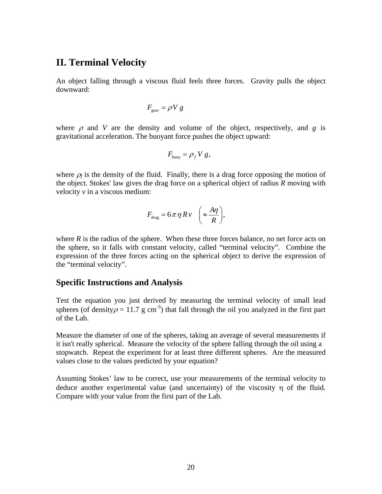### **II. Terminal Velocity**

An object falling through a viscous fluid feels three forces. Gravity pulls the object downward:

$$
F_{\rm grav} = \rho V g
$$

where  $\rho$  and *V* are the density and volume of the object, respectively, and *g* is gravitational acceleration. The buoyant force pushes the object upward:

$$
F_{\text{buoy}} = \rho_f V g,
$$

where  $\rho_f$  is the density of the fluid. Finally, there is a drag force opposing the motion of the object. Stokes' law gives the drag force on a spherical object of radius *R* moving with velocity *v* in a viscous medium:

$$
F_{\rm drag} = 6\pi \eta R v \quad \bigg(\approx \frac{A\eta}{R}\bigg),
$$

where  $R$  is the radius of the sphere. When these three forces balance, no net force acts on the sphere, so it falls with constant velocity, called "terminal velocity". Combine the expression of the three forces acting on the spherical object to derive the expression of the "terminal velocity".

#### **Specific Instructions and Analysis**

Test the equation you just derived by measuring the terminal velocity of small lead spheres (of density  $\rho = 11.7$  g cm<sup>-3</sup>) that fall through the oil you analyzed in the first part of the Lab.

Measure the diameter of one of the spheres, taking an average of several measurements if it isn't really spherical. Measure the velocity of the sphere falling through the oil using a stopwatch. Repeat the experiment for at least three different spheres. Are the measured values close to the values predicted by your equation?

Assuming Stokes' law to be correct, use your measurements of the terminal velocity to deduce another experimental value (and uncertainty) of the viscosity  $\eta$  of the fluid. Compare with your value from the first part of the Lab.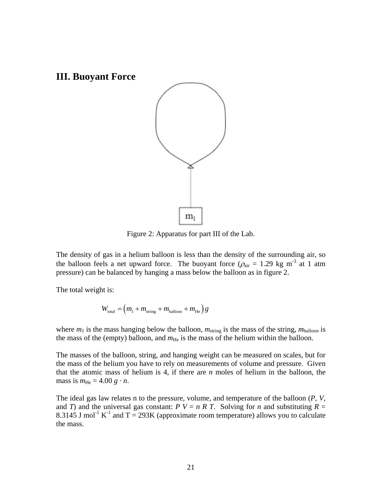

Figure 2: Apparatus for part III of the Lab.

The density of gas in a helium balloon is less than the density of the surrounding air, so the balloon feels a net upward force. The buoyant force ( $\rho_{air} = 1.29$  kg m<sup>-3</sup> at 1 atm pressure) can be balanced by hanging a mass below the balloon as in figure 2.

The total weight is:

$$
W_{\text{total}} = \left(m_1 + m_{\text{string}} + m_{\text{balloon}} + m_{\text{He}}\right)g
$$

where  $m_l$  is the mass hanging below the balloon,  $m_{\text{string}}$  is the mass of the string,  $m_{\text{balloon}}$  is the mass of the (empty) balloon, and  $m_{\text{He}}$  is the mass of the helium within the balloon.

The masses of the balloon, string, and hanging weight can be measured on scales, but for the mass of the helium you have to rely on measurements of volume and pressure. Given that the atomic mass of helium is 4, if there are *n* moles of helium in the balloon, the mass is  $m_{\text{He}} = 4.00 g \cdot n$ .

The ideal gas law relates n to the pressure, volume, and temperature of the balloon (*P*, *V*, and *T*) and the universal gas constant:  $P V = n R T$ . Solving for *n* and substituting  $R =$ 8.3145 J mol<sup>-1</sup> K<sup>-1</sup> and T = 293K (approximate room temperature) allows you to calculate the mass.